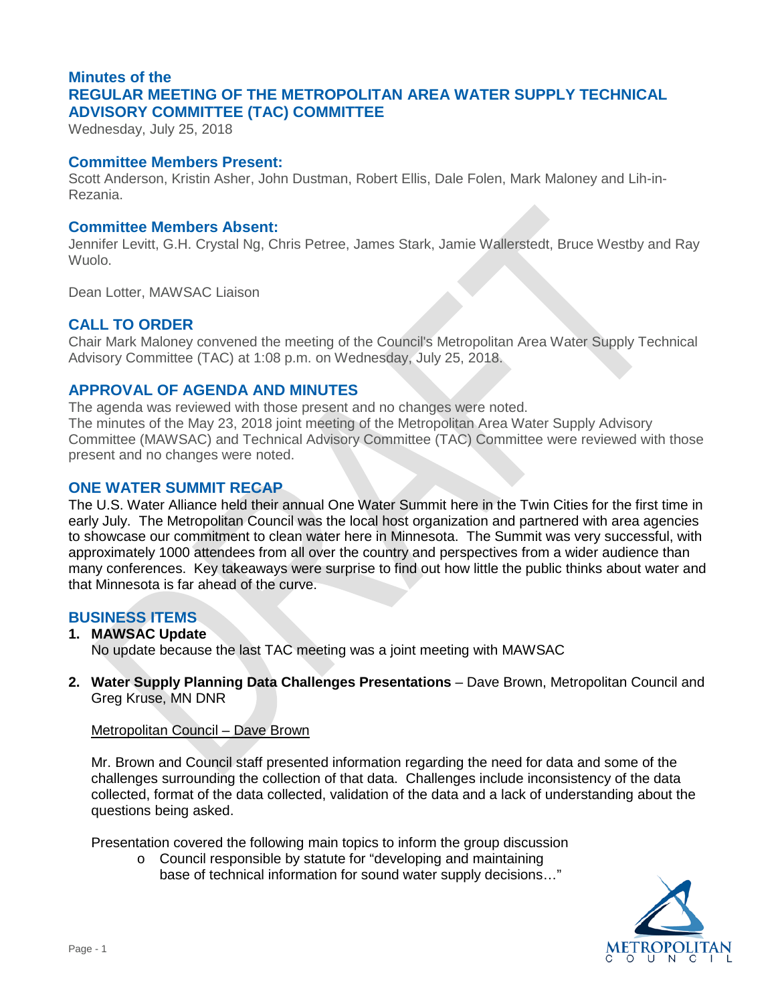# **Minutes of the REGULAR MEETING OF THE METROPOLITAN AREA WATER SUPPLY TECHNICAL ADVISORY COMMITTEE (TAC) COMMITTEE**

Wednesday, July 25, 2018

## **Committee Members Present:**

Scott Anderson, Kristin Asher, John Dustman, Robert Ellis, Dale Folen, Mark Maloney and Lih-in-Rezania.

#### **Committee Members Absent:**

Wuolo. Jennifer Levitt, G.H. Crystal Ng, Chris Petree, James Stark, Jamie Wallerstedt, Bruce Westby and Ray

Dean Lotter, MAWSAC Liaison

## **CALL TO ORDER**

Chair Mark Maloney convened the meeting of the Council's Metropolitan Area Water Supply Technical Advisory Committee (TAC) at 1:08 p.m. on Wednesday, July 25, 2018.

# **APPROVAL OF AGENDA AND MINUTES**

 The minutes of the May 23, 2018 joint meeting of the Metropolitan Area Water Supply Advisory Committee (MAWSAC) and Technical Advisory Committee (TAC) Committee were reviewed with those present and no changes were noted. The agenda was reviewed with those present and no changes were noted.

## **ONE WATER SUMMIT RECAP**

 The U.S. Water Alliance held their annual One Water Summit here in the Twin Cities for the first time in to showcase our commitment to clean water here in Minnesota. The Summit was very successful, with early July. The Metropolitan Council was the local host organization and partnered with area agencies approximately 1000 attendees from all over the country and perspectives from a wider audience than many conferences. Key takeaways were surprise to find out how little the public thinks about water and that Minnesota is far ahead of the curve.

#### **BUSINESS ITEMS**

 **1. MAWSAC Update**

No update because the last TAC meeting was a joint meeting with MAWSAC

 **2. Water Supply Planning Data Challenges Presentations** – Dave Brown, Metropolitan Council and Greg Kruse, MN DNR

#### Metropolitan Council – Dave Brown

 challenges surrounding the collection of that data. Challenges include inconsistency of the data collected, format of the data collected, validation of the data and a lack of understanding about the questions being asked. Mr. Brown and Council staff presented information regarding the need for data and some of the

Presentation covered the following main topics to inform the group discussion

 o Council responsible by statute for "developing and maintaining base of technical information for sound water supply decisions…"

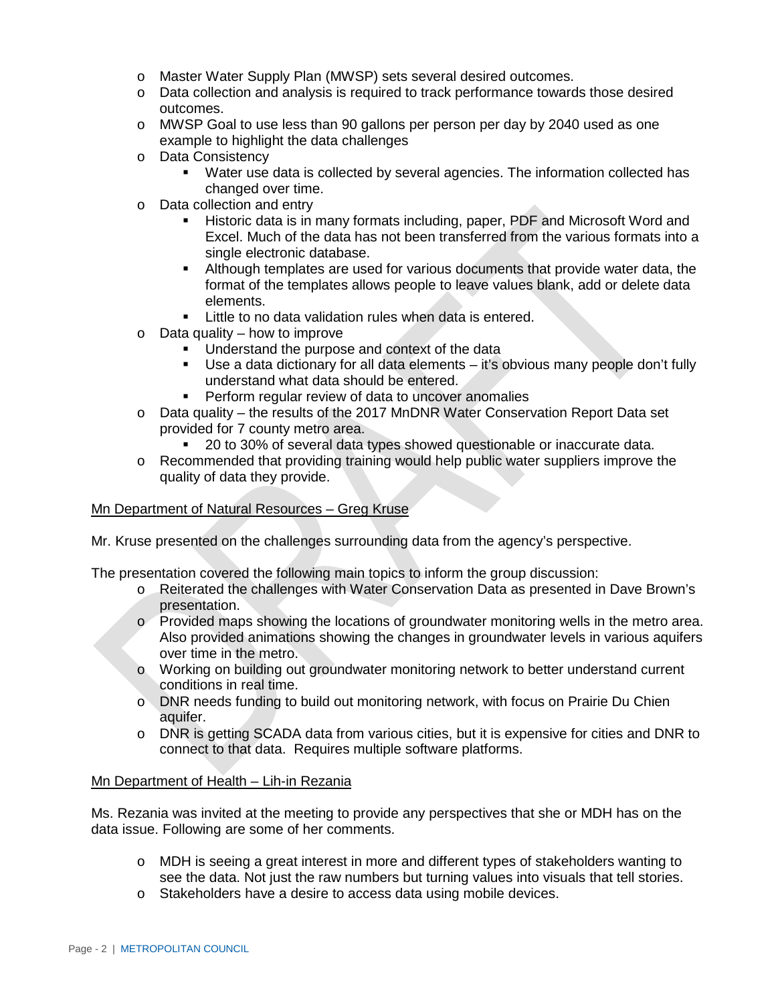- o Master Water Supply Plan (MWSP) sets several desired outcomes.
- o Data collection and analysis is required to track performance towards those desired outcomes.
- o MWSP Goal to use less than 90 gallons per person per day by 2040 used as one example to highlight the data challenges
- o Data Consistency
	- **Water use data is collected by several agencies. The information collected has** changed over time.
- o Data collection and entry
	- Excel. Much of the data has not been transferred from the various formats into a Historic data is in many formats including, paper, PDF and Microsoft Word and single electronic database.
	- Although templates are used for various documents that provide water data, the format of the templates allows people to leave values blank, add or delete data elements.
	- **EXTE:** Little to no data validation rules when data is entered.
- $\circ$  Data quality how to improve
	- **Understand the purpose and context of the data**
	- Use a data dictionary for all data elements it's obvious many people don't fully understand what data should be entered.
	- **Perform regular review of data to uncover anomalies**
- o Data quality the results of the 2017 MnDNR Water Conservation Report Data set provided for 7 county metro area.
	- 20 to 30% of several data types showed questionable or inaccurate data.
- o Recommended that providing training would help public water suppliers improve the quality of data they provide.

## Mn Department of Natural Resources – Greg Kruse

Mr. Kruse presented on the challenges surrounding data from the agency's perspective.<br>The presentation covered the following main topics to inform the group discussion: The presentation covered the following main topics to inform the group discussion:

- o Reiterated the challenges with Water Conservation Data as presented in Dave Brown's presentation.
- o Provided maps showing the locations of groundwater monitoring wells in the metro area. Also provided animations showing the changes in groundwater levels in various aquifers over time in the metro.
- o Working on building out groundwater monitoring network to better understand current conditions in real time.
- o DNR needs funding to build out monitoring network, with focus on Prairie Du Chien aquifer.
- o DNR is getting SCADA data from various cities, but it is expensive for cities and DNR to connect to that data. Requires multiple software platforms.

#### Mn Department of Health – Lih-in Rezania

Ms. Rezania was invited at the meeting to provide any perspectives that she or MDH has on the data issue. Following are some of her comments.

- o MDH is seeing a great interest in more and different types of stakeholders wanting to see the data. Not just the raw numbers but turning values into visuals that tell stories.
- o Stakeholders have a desire to access data using mobile devices.<br>Page 2 | METROPOLITAN COUNCIL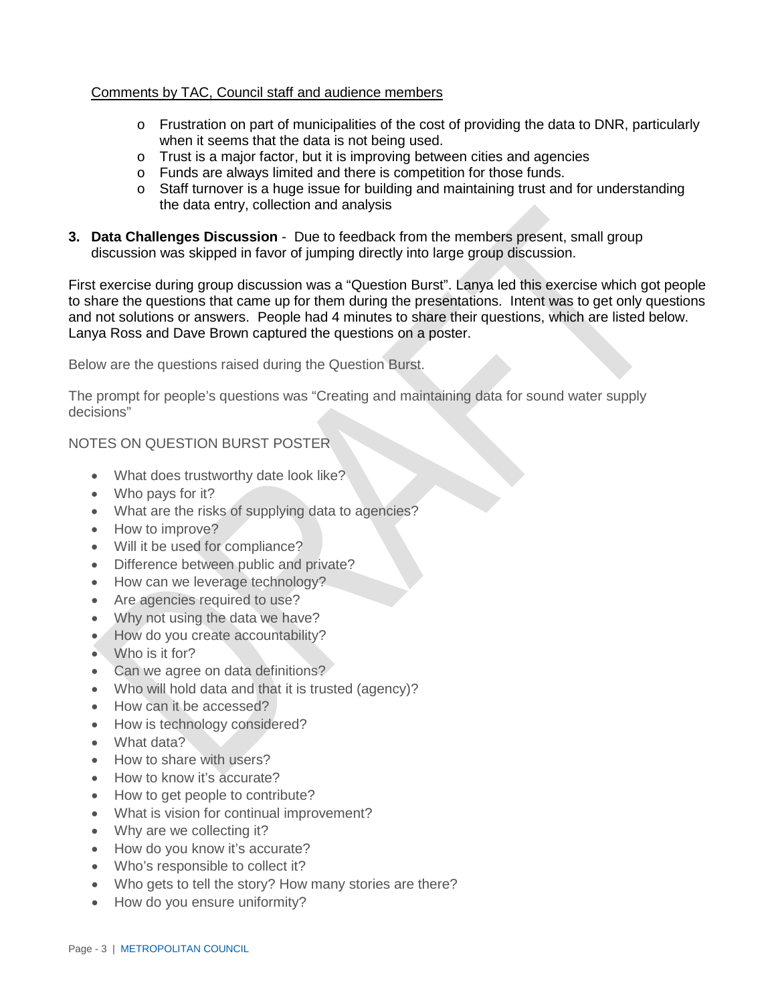## Comments by TAC, Council staff and audience members

- o Frustration on part of municipalities of the cost of providing the data to DNR, particularly when it seems that the data is not being used.
- o Trust is a major factor, but it is improving between cities and agencies
- o Funds are always limited and there is competition for those funds.
- o Staff turnover is a huge issue for building and maintaining trust and for understanding the data entry, collection and analysis
- **3. Data Challenges Discussion**  Due to feedback from the members present, small group discussion was skipped in favor of jumping directly into large group discussion.

and not solutions or answers. People had 4 minutes to share their questions, which are listed below.<br>Lanya Ross and Dave Brown captured the questions on a poster. First exercise during group discussion was a "Question Burst". Lanya led this exercise which got people to share the questions that came up for them during the presentations. Intent was to get only questions

Below are the questions raised during the Question Burst.

The prompt for people's questions was "Creating and maintaining data for sound water supply decisions"

NOTES ON QUESTION BURST POSTER

- What does trustworthy date look like?
- Who pays for it?
- What are the risks of supplying data to agencies?
- How to improve?
- Will it be used for compliance?
- Difference between public and private?
- How can we leverage technology?
- Are agencies required to use?
- Why not using the data we have?
- How do you create accountability?
- Who is it for?
- Can we agree on data definitions?
- Who will hold data and that it is trusted (agency)?
- How can it be accessed?
- How is technology considered?
- What data?
- How to share with users?
- How to know it's accurate?
- How to get people to contribute?
- What is vision for continual improvement?
- Why are we collecting it?
- How do you know it's accurate?
- Who's responsible to collect it?
- Who gets to tell the story? How many stories are there?
- How do you ensure uniformity?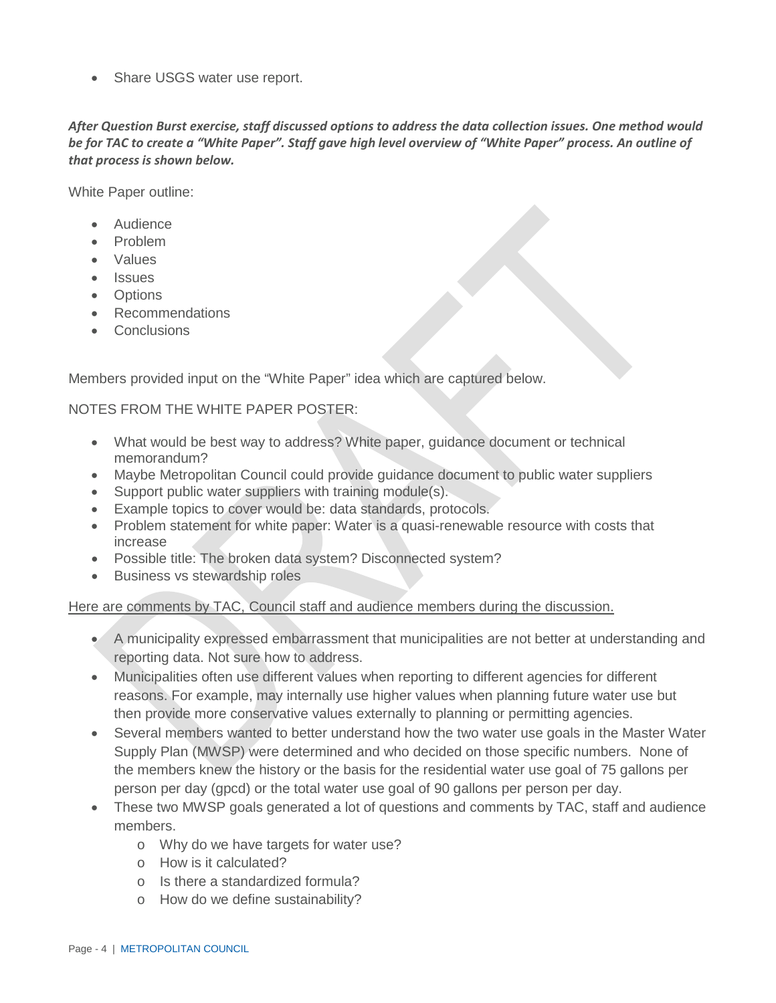• Share USGS water use report.

 *After Question Burst exercise, staff discussed options to address the data collection issues. One method would be for TAC to create a "White Paper". Staff gave high level overview of "White Paper" process. An outline of that process is shown below.* 

White Paper outline:

- Audience
- Problem
- Values
- Issues
- Options
- Recommendations
- Conclusions

Members provided input on the "White Paper" idea which are captured below.

## NOTES FROM THE WHITE PAPER POSTER:

- • What would be best way to address? White paper, guidance document or technical memorandum?
- Maybe Metropolitan Council could provide quidance document to public water suppliers
- Support public water suppliers with training module(s).
- Example topics to cover would be: data standards, protocols.
- Problem statement for white paper: Water is a quasi-renewable resource with costs that increase
- Possible title: The broken data system? Disconnected system?
- Business vs stewardship roles

## Here are comments by TAC, Council staff and audience members during the discussion.

- A municipality expressed embarrassment that municipalities are not better at understanding and reporting data. Not sure how to address.
- Municipalities often use different values when reporting to different agencies for different reasons. For example, may internally use higher values when planning future water use but then provide more conservative values externally to planning or permitting agencies.
- • Several members wanted to better understand how the two water use goals in the Master Water Supply Plan (MWSP) were determined and who decided on those specific numbers. None of the members knew the history or the basis for the residential water use goal of 75 gallons per person per day (gpcd) or the total water use goal of 90 gallons per person per day.
- • These two MWSP goals generated a lot of questions and comments by TAC, staff and audience members.
	- o Why do we have targets for water use?
	- o How is it calculated?
	- o Is there a standardized formula?
	- o How do we define sustainability?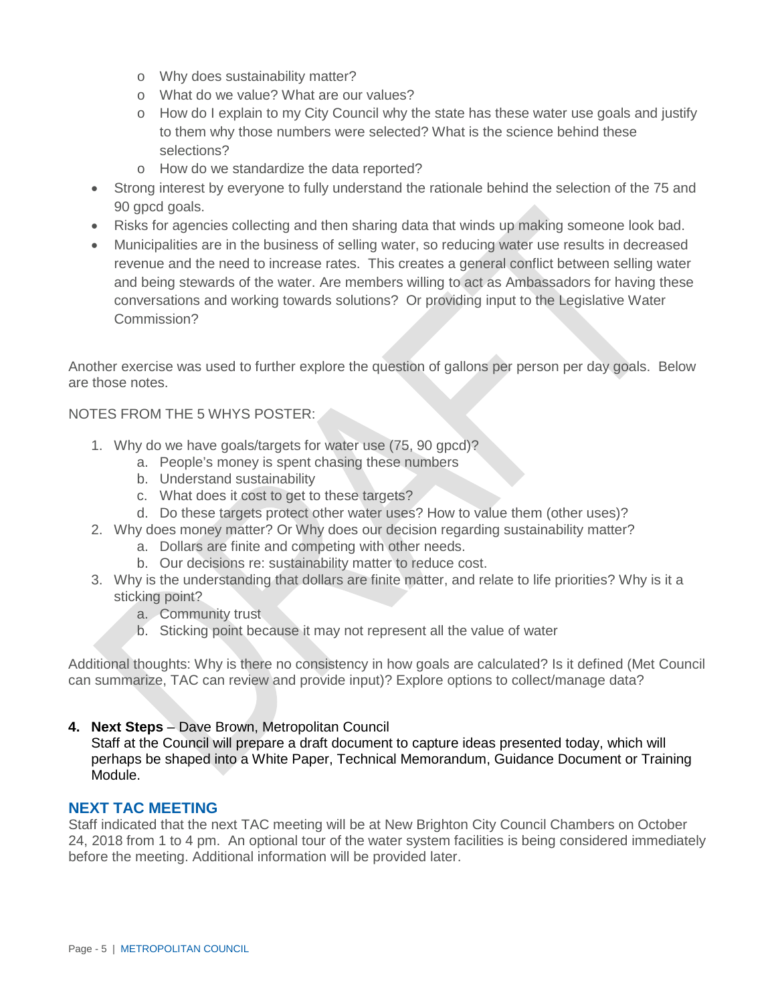- o Why does sustainability matter?
- o What do we value? What are our values?
- o How do I explain to my City Council why the state has these water use goals and justify to them why those numbers were selected? What is the science behind these selections?
- o How do we standardize the data reported?
- Strong interest by everyone to fully understand the rationale behind the selection of the 75 and 90 gpcd goals.
- Risks for agencies collecting and then sharing data that winds up making someone look bad.
- revenue and the need to increase rates. This creates a general conflict between selling water and being stewards of the water. Are members willing to act as Ambassadors for having these conversations and working towards solutions? Or providing input to the Legislative Water • Municipalities are in the business of selling water, so reducing water use results in decreased Commission?

Another exercise was used to further explore the question of gallons per person per day goals. Below are those notes.

## NOTES FROM THE 5 WHYS POSTER:

- 1. Why do we have goals/targets for water use (75, 90 gpcd)?
	- a. People's money is spent chasing these numbers
	- b. Understand sustainability
	- c. What does it cost to get to these targets?
	- d. Do these targets protect other water uses? How to value them (other uses)?
- 2. Why does money matter? Or Why does our decision regarding sustainability matter?
	- a. Dollars are finite and competing with other needs.
	- b. Our decisions re: sustainability matter to reduce cost.
- 3. Why is the understanding that dollars are finite matter, and relate to life priorities? Why is it a sticking point?
	- a. Community trust
	- b. Sticking point because it may not represent all the value of water

Additional thoughts: Why is there no consistency in how goals are calculated? Is it defined (Met Council can summarize, TAC can review and provide input)? Explore options to collect/manage data?

## **4. Next Steps** – Dave Brown, Metropolitan Council

Staff at the Council will prepare a draft document to capture ideas presented today, which will perhaps be shaped into a White Paper, Technical Memorandum, Guidance Document or Training Module.

## **NEXT TAC MEETING**

 24, 2018 from 1 to 4 pm. An optional tour of the water system facilities is being considered immediately before the meeting. Additional information will be provided later.<br>Page - 5 | METROPOLITAN COUNCIL Staff indicated that the next TAC meeting will be at New Brighton City Council Chambers on October